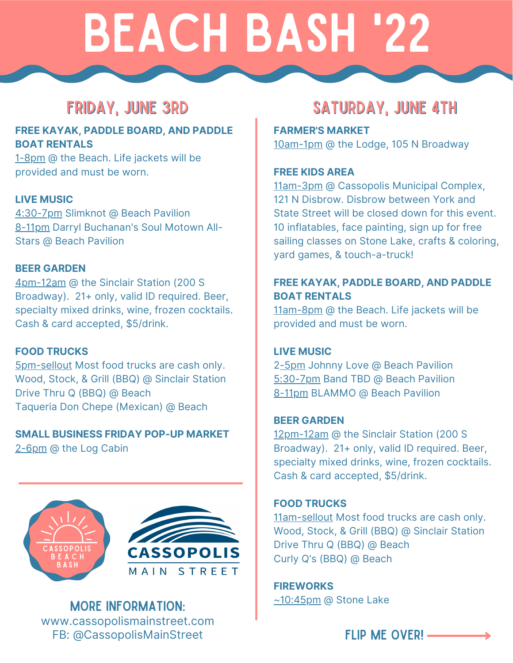# Beach bash '22

#### **FREE KAYAK, PADDLE BOARD, AND PADDLE BOAT RENTALS**

1-8pm @ the Beach. Life jackets will be provided and must be worn.

#### **LIVE MUSIC**

4:30-7pm Slimknot @ Beach Pavilion 8-11pm Darryl Buchanan's Soul Motown All-Stars @ Beach Pavilion

#### **BEER GARDEN**

4pm-12am @ the Sinclair Station (200 S Broadway). 21+ only, valid ID required. Beer, specialty mixed drinks, wine, frozen cocktails. Cash & card accepted, \$5/drink.

#### **FOOD TRUCKS**

5pm-sellout Most food trucks are cash only. Wood, Stock, & Grill (BBQ) @ Sinclair Station Drive Thru Q (BBQ) @ Beach Taqueria Don Chepe (Mexican) @ Beach

#### **SMALL BUSINESS FRIDAY POP-UP MARKET** 2-6pm @ the Log Cabin





More information: www.cassopolismainstreet.com FB: @CassopolisMainStreet FLIP ME OVER! -

### FRIDAY, JUNE 3RD SATURDAY, JUNE 4TH

**FARMER'S MARKET** 10am-1pm @ the Lodge, 105 N Broadway

#### **FREE KIDS AREA**

11am-3pm @ Cassopolis Municipal Complex, 121 N Disbrow. Disbrow between York and State Street will be closed down for this event. 10 inflatables, face painting, sign up for free sailing classes on Stone Lake, crafts & coloring, yard games, & touch-a-truck!

#### **FREE KAYAK, PADDLE BOARD, AND PADDLE BOAT RENTALS**

11am-8pm @ the Beach. Life jackets will be provided and must be worn.

#### **LIVE MUSIC**

2-5pm Johnny Love @ Beach Pavilion 5:30-7pm Band TBD @ Beach Pavilion 8-11pm BLAMMO @ Beach Pavilion

#### **BEER GARDEN**

12pm-12am @ the Sinclair Station (200 S Broadway). 21+ only, valid ID required. Beer, specialty mixed drinks, wine, frozen cocktails. Cash & card accepted, \$5/drink.

#### **FOOD TRUCKS**

11am-sellout Most food trucks are cash only. Wood, Stock, & Grill (BBQ) @ Sinclair Station Drive Thru Q (BBQ) @ Beach Curly Q's (BBQ) @ Beach

**FIREWORKS** ~10:45pm @ Stone Lake